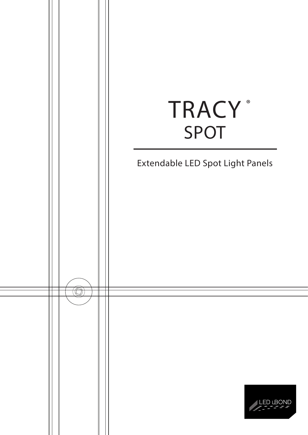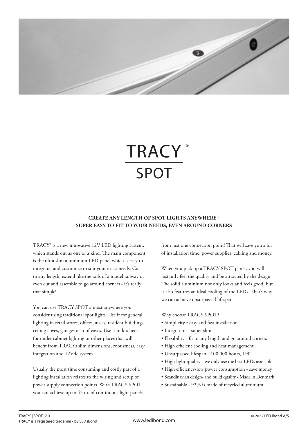

# **TRACY** SPOT ®

# **CREATE ANY LENGTH OF SPOT LIGHTS ANYWHERE - SUPER EASY TO FIT TO YOUR NEEDS, EVEN AROUND CORNERS**

TRACY® is a new innovative 12V LED lighting system, which stands out as one of a kind. The main component is the ultra slim aluminium LED panel which is easy to integrate, and customize to suit your exact needs. Cut to any length, extend like the rails of a model railway or even cut and assemble to go around corners - it's really that simple!

You can use TRACY SPOT almost anywhere you consider using traditional spot lights. Use it for general lighting in retail stores, offices, aisles, resident buildings, ceiling coves, garages or roof eaves. Use it in kitchens for under cabinet lighting or other places that will benefit from TRACYs slim dimensions, robustness, easy integration and 12Vdc system.

Usually the most time consuming and costly part of a lighting installation relates to the wiring and setup of power supply connection points. With TRACY SPOT you can achieve up to 43 m. of continuous light panels from just one connection point! That will save you a lot of installation time, power supplies, cabling and money.

When you pick up a TRACY SPOT panel, you will instantly feel the quality and be attracted by the design. The solid aluminium not only looks and feels good, but it also features an ideal cooling of the LEDs. That's why we can achieve unsurpassed lifespan.

### Why choose TRACY SPOT?

- Simplicity easy and fast installation
- Integration super slim
- Flexibility fit to any length and go around corners
- High efficient cooling and heat management
- Unsurpassed lifespan 100,000 hours, L90
- High light quality we only use the best LEDs available
- High efficiency/low power consumption save money
- Scandinavian design- and build quality Made in Denmark
- Sustainable 92% is made of recycled aluminium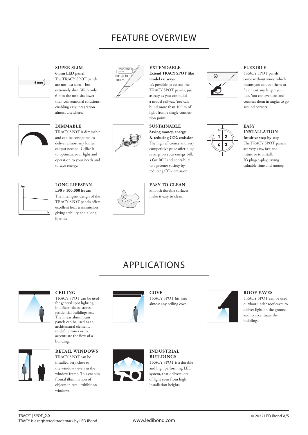# FEATURE OVERVIEW



# **SUPER SLIM 6 mm LED panel** The TRACY SPOT panels

are not just slim – but extremely slim. With only 6 mm the unit sits lower than conventional solutions, enabling easy integration almost anywhere.



# **DIMMABLE**

TRACY SPOT is dimmable and can be configured to deliver almost any lumen output needed. Utilize it to optimize your light and operation to your needs and to save energy.



### **LONG LIFESPAN L90 > 100.000 hours**

The intelligent design of the TRACY SPOT panels offers excellent heat transmission giving stability and a long lifetime.





### **EXTENDABLE Extend TRACY SPOT like model railways**  It's possible to extend the

TRACY SPOT panels, just as easy as you can build a model railway. You can build more than 100 m of light from a single connection point!

### **SUSTAINABLE Saving money, energy & reducing CO2 emission**  The high efficiency and very competitive price offer huge savings on your energy bill, a fast ROI and contribute to a greener society by reducing CO2 emission.

**EASY TO CLEAN** Smooth durable surfaces make it easy to clean.



# **FLEXIBLE**

TRACY SPOT panels come without wires, which means you can cut them to fit almost any length you like. You can even cut and connect them in angles to go around corners.

### **EASY INSTALLATION Intuitive step-by-step** The TRACY SPOT panels are very easy, fast and intuitive to install. It's plug-n-play, saving valuable time and money.

# APPLICATIONS



## **CEILING**

TRACY SPOT can be used for general spot lighting in offices, aisles, stores, residential buildings etc. The linear aluminium panels can be used as an architectural element, to define zones or to accentuate the flow of a building.



**RETAIL WINDOWS** TRACY SPOT can be installed very close to

the window - even in the window frame. This enables frontal illumination of objects in retail exhibition windows.



**COVE** TRACY SPOT fits into almost any ceiling cove.



## **ROOF EAVES**

TRACY SPOT can be used outdoor under roof eaves to deliver light on the ground and to accentuate the building.



**INDUSTRIAL BUILDINGS** TRACY SPOT is a durable and high performing LED system, that delivers lots of light even from high installation heights.

### TRACY® | SPOT\_2.0 TRACY is a registered trademark by LED iBond

www.ledibond.com